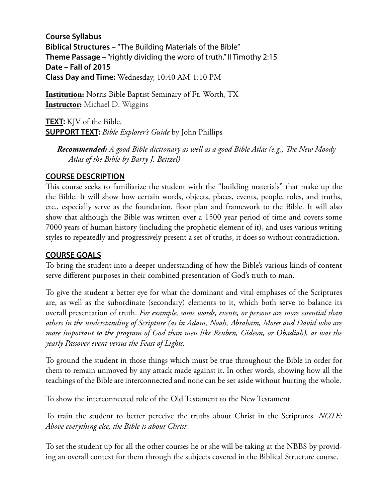**Course Syllabus Biblical Structures** – "The Building Materials of the Bible" **Theme Passage** – "rightly dividing the word of truth." II Timothy 2:15 **Date** – **Fall of 2015 Class Day and Time:** Wednesday, 10:40 AM-1:10 PM

**Institution:** Norris Bible Baptist Seminary of Ft. Worth, TX **Instructor:** Michael D. Wiggins

**TEXT:** KJV of the Bible. **SUPPORT TEXT:** *Bible Explorer's Guide* by John Phillips

 *Recommended: A good Bible dictionary as well as a good Bible Atlas (e.g., Te New Moody Atlas of the Bible by Barry J. Beitzel)* 

#### **COURSE DESCRIPTION**

This course seeks to familiarize the student with the "building materials" that make up the the Bible. It will show how certain words, objects, places, events, people, roles, and truths, etc., especially serve as the foundation, foor plan and framework to the Bible. It will also show that although the Bible was written over a 1500 year period of time and covers some 7000 years of human history (including the prophetic element of it), and uses various writing styles to repeatedly and progressively present a set of truths, it does so without contradiction.

## **COURSE GOALS**

To bring the student into a deeper understanding of how the Bible's various kinds of content serve different purposes in their combined presentation of God's truth to man.

To give the student a better eye for what the dominant and vital emphases of the Scriptures are, as well as the subordinate (secondary) elements to it, which both serve to balance its overall presentation of truth. *For example, some words, events, or persons are more essential than others in the understanding of Scripture (as in Adam, Noah, Abraham, Moses and David who are more important to the program of God than men like Reuben, Gideon, or Obadiah), as was the yearly Passover event versus the Feast of Lights.*

To ground the student in those things which must be true throughout the Bible in order for them to remain unmoved by any attack made against it. In other words, showing how all the teachings of the Bible are interconnected and none can be set aside without hurting the whole.

To show the interconnected role of the Old Testament to the New Testament.

To train the student to better perceive the truths about Christ in the Scriptures. *NOTE: Above everything else, the Bible is about Christ.*

To set the student up for all the other courses he or she will be taking at the NBBS by providing an overall context for them through the subjects covered in the Biblical Structure course.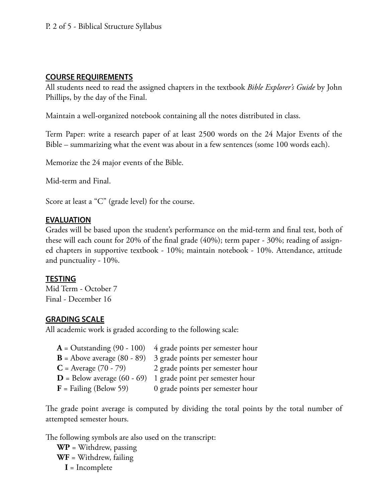## **COURSE REQUIREMENTS**

All students need to read the assigned chapters in the textbook *Bible Explorer's Guide* by John Phillips, by the day of the Final.

Maintain a well-organized notebook containing all the notes distributed in class.

Term Paper: write a research paper of at least 2500 words on the 24 Major Events of the Bible – summarizing what the event was about in a few sentences (some 100 words each).

Memorize the 24 major events of the Bible.

Mid-term and Final.

Score at least a "C" (grade level) for the course.

## **EVALUATION**

Grades will be based upon the student's performance on the mid-term and fnal test, both of these will each count for 20% of the fnal grade (40%); term paper - 30%; reading of assigned chapters in supportive textbook - 10%; maintain notebook - 10%. Attendance, attitude and punctuality - 10%.

## **TESTING**

Mid Term - October 7 Final - December 16

# **GRADING SCALE**

All academic work is graded according to the following scale:

**A** = Outstanding (90 - 100) 4 grade points per semester hour **B** = Above average (80 - 89) 3 grade points per semester hour  $C =$  Average (70 - 79) 2 grade points per semester hour **D** = Below average (60 - 69) 1 grade point per semester hour **F** = Failing (Below 59) 0 grade points per semester hour

The grade point average is computed by dividing the total points by the total number of attempted semester hours.

The following symbols are also used on the transcript:

**WP** = Withdrew, passing **WF** = Withdrew, failing  **I** = Incomplete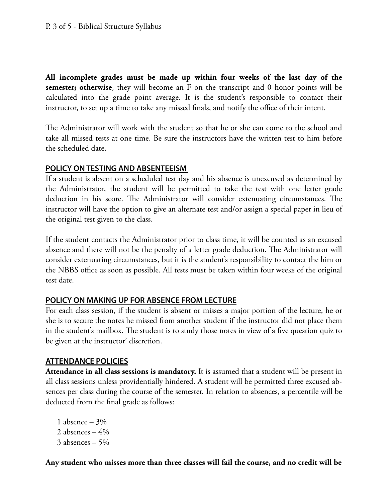**All incomplete grades must be made up within four weeks of the last day of the semester; otherwise**, they will become an F on the transcript and 0 honor points will be calculated into the grade point average. It is the student's responsible to contact their instructor, to set up a time to take any missed fnals, and notify the office of their intent.

The Administrator will work with the student so that he or she can come to the school and take all missed tests at one time. Be sure the instructors have the written test to him before the scheduled date.

#### **POLICY ON TESTING AND ABSENTEEISM**

If a student is absent on a scheduled test day and his absence is unexcused as determined by the Administrator, the student will be permitted to take the test with one letter grade deduction in his score. The Administrator will consider extenuating circumstances. The instructor will have the option to give an alternate test and/or assign a special paper in lieu of the original test given to the class.

If the student contacts the Administrator prior to class time, it will be counted as an excused absence and there will not be the penalty of a letter grade deduction. The Administrator will consider extenuating circumstances, but it is the student's responsibility to contact the him or the NBBS office as soon as possible. All tests must be taken within four weeks of the original test date.

## **POLICY ON MAKING UP FOR ABSENCE FROM LECTURE**

For each class session, if the student is absent or misses a major portion of the lecture, he or she is to secure the notes he missed from another student if the instructor did not place them in the student's mailbox. The student is to study those notes in view of a five question quiz to be given at the instructor' discretion.

## **ATTENDANCE POLICIES**

**Attendance in all class sessions is mandatory.** It is assumed that a student will be present in all class sessions unless providentially hindered. A student will be permitted three excused absences per class during the course of the semester. In relation to absences, a percentile will be deducted from the fnal grade as follows:

1 absence  $-3%$ 2 absences  $-4%$ 3 absences – 5%

**Any student who misses more than three classes will fail the course, and no credit will be**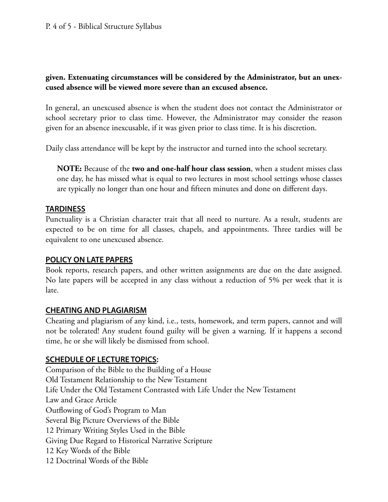## **given. Extenuating circumstances will be considered by the Administrator, but an unexcused absence will be viewed more severe than an excused absence.**

In general, an unexcused absence is when the student does not contact the Administrator or school secretary prior to class time. However, the Administrator may consider the reason given for an absence inexcusable, if it was given prior to class time. It is his discretion.

Daily class attendance will be kept by the instructor and turned into the school secretary.

**NOTE:** Because of the **two and one-half hour class session**, when a student misses class one day, he has missed what is equal to two lectures in most school settings whose classes are typically no longer than one hour and ffteen minutes and done on different days.

#### **TARDINESS**

Punctuality is a Christian character trait that all need to nurture. As a result, students are expected to be on time for all classes, chapels, and appointments. Three tardies will be equivalent to one unexcused absence.

#### **POLICY ON LATE PAPERS**

Book reports, research papers, and other written assignments are due on the date assigned. No late papers will be accepted in any class without a reduction of 5% per week that it is late.

## **CHEATING AND PLAGIARISM**

Cheating and plagiarism of any kind, i.e., tests, homework, and term papers, cannot and will not be tolerated! Any student found guilty will be given a warning. If it happens a second time, he or she will likely be dismissed from school.

## **SCHEDULE OF LECTURE TOPICS:**

Comparison of the Bible to the Building of a House Old Testament Relationship to the New Testament Life Under the Old Testament Contrasted with Life Under the New Testament Law and Grace Article Outfowing of God's Program to Man Several Big Picture Overviews of the Bible 12 Primary Writing Styles Used in the Bible Giving Due Regard to Historical Narrative Scripture 12 Key Words of the Bible 12 Doctrinal Words of the Bible